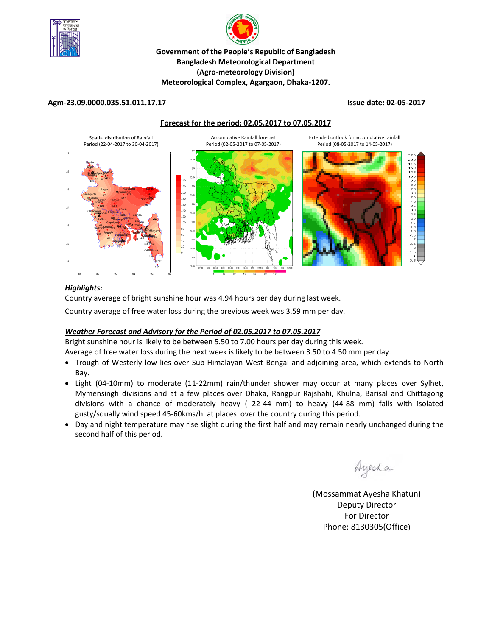



### **Government of the People's Republic of Bangladesh Bangladesh Meteorological Department (Agro‐meteorology Division) Meteorological Complex, Agargaon, Dhaka‐1207.**

### **Agm‐23.09.0000.035.51.011.17.17 Issue date: 02‐05‐2017**

### **Forecast for the period: 02.05.2017 to 07.05.2017**



### *Highlights:*

Country average of bright sunshine hour was 4.94 hours per day during last week.

Country average of free water loss during the previous week was 3.59 mm per day.

## *Weather Forecast and Advisory for the Period of 02.05.2017 to 07.05.2017*

Bright sunshine hour is likely to be between 5.50 to 7.00 hours per day during this week.

Average of free water loss during the next week is likely to be between 3.50 to 4.50 mm per day.

- Trough of Westerly low lies over Sub-Himalayan West Bengal and adjoining area, which extends to North Bay.
- Light (04‐10mm) to moderate (11‐22mm) rain/thunder shower may occur at many places over Sylhet, Mymensingh divisions and at a few places over Dhaka, Rangpur Rajshahi, Khulna, Barisal and Chittagong divisions with a chance of moderately heavy ( 22‐44 mm) to heavy (44‐88 mm) falls with isolated gusty/squally wind speed 45‐60kms/h at places over the country during this period.
- Day and night temperature may rise slight during the first half and may remain nearly unchanged during the second half of this period.

Ayesha

(Mossammat Ayesha Khatun) Deputy Director For Director Phone: 8130305(Office)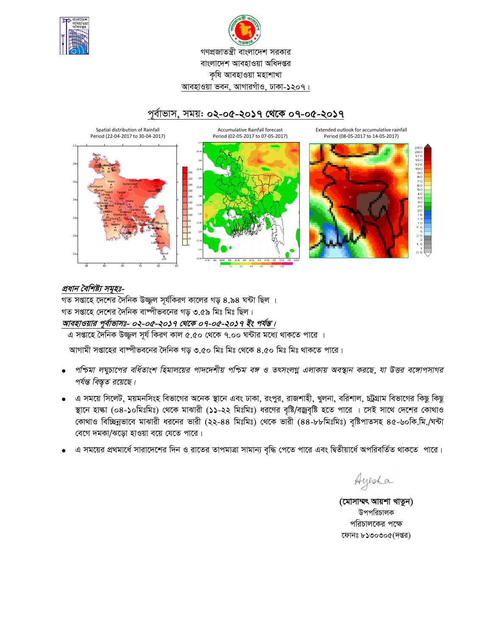

# গণপ্রজাতন্ত্রী বাংলাদেশ সরকার বাংলাদেশ আবহাওয়া অধিদপ্তর কৃষি আবহাওয়া মহাশাখা আবহাওয়া ভবন, আগারগাঁও, ঢাকা-১২০৭।

# পূর্বাভাস, সময়: ০২-০৫-২০১৭ থেকে ০৭-০৫-২০১৭



# প্রধান বৈশিষ্ট্য সমূহঃ-

গত সপ্তাহে দেশের দৈনিক উজ্জ্বল সূর্যকিরণ কালের গড় ৪.৯৪ ঘন্টা ছিল । গত সপ্তাহে দেশের দৈনিক বাষ্পীভবনের গড় ৩.৫৯ মিঃ মিঃ ছিল। আবহাওয়ার পূর্বাভাসঃ- ০২-০৫-২০১৭ থেকে ০৭-০৫-২০১৭ ইং পর্যন্ত।

এ সপ্তাহে দৈনিক উজ্জ্বল সূর্য কিরণ কাল ৫.৫০ থেকে ৭.০০ ঘন্টার মধ্যে থাকতে পারে ।

আগামী সপ্তাহের বাষ্পীভবনের দৈনিক গড় ৩.৫০ মিঃ মিঃ থেকে ৪.৫০ মিঃ মিঃ থাকতে পারে।

- পশ্চিমা লঘুচাপের বর্ধিতাংশ হিমালয়ের পাদদেশীয় পশ্চিম বঙ্গ ও তৎসংলগ্ন এলাকায় অবস্থান করছে, যা উত্তর বঙ্গোপসাগর পর্যন্ত বিস্তৃত রয়েছে।
- এ সময়ে সিলেট, ময়মনসিংহ বিভাগের অনেক স্থানে এবং ঢাকা, রংপুর, রাজশাহী, খুলনা, বরিশাল, চট্রগ্রাম বিভাগের কিছু কিছু স্থানে হাঙ্কা (০৪-১০মিঃমিঃ) থেকে মাঝারী (১১-২২ মিঃমিঃ) ধরণের বৃষ্টি/বজ্রবৃষ্টি হতে পারে । সেই সাথে দেশের কোথাও কোথাও বিচ্ছিন্নভাবে মাঝারী ধরনের ভারী (২২-৪৪ মিঃমিঃ) থেকে ভারী (৪৪-৮৮মিঃমিঃ) বৃষ্টিপাতসহ ৪৫-৬০কি.মি./ঘন্টা বেগে দমকা/ঝড়ো হাওয়া বয়ে যেতে পারে।
- এ সময়ের প্রথমার্ধে সারাদেশের দিন ও রাতের তাপমাত্রা সামান্য বৃদ্ধি পেতে পারে এবং দ্বিতীয়ার্ধে অপরিবর্তিত থাকতে পারে।

Ayesha

(মোসাম্মৎ আয়শা খাতুন) উপপরিচালক পরিচালকের পক্ষে ফোনঃ ৮১৩০৩০৫(দপ্তর)